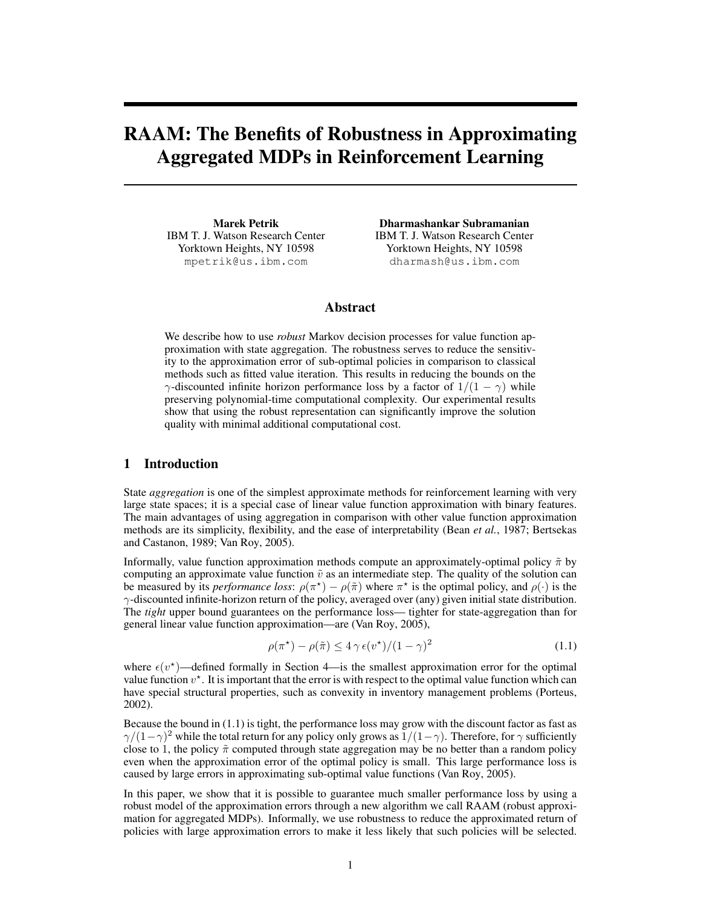# RAAM: The Benefits of Robustness in Approximating Aggregated MDPs in Reinforcement Learning

Marek Petrik IBM T. J. Watson Research Center Yorktown Heights, NY 10598 mpetrik@us.ibm.com

Dharmashankar Subramanian IBM T. J. Watson Research Center Yorktown Heights, NY 10598 dharmash@us.ibm.com

# Abstract

We describe how to use *robust* Markov decision processes for value function approximation with state aggregation. The robustness serves to reduce the sensitivity to the approximation error of sub-optimal policies in comparison to classical methods such as fitted value iteration. This results in reducing the bounds on the  $\gamma$ -discounted infinite horizon performance loss by a factor of  $1/(1 - \gamma)$  while preserving polynomial-time computational complexity. Our experimental results show that using the robust representation can significantly improve the solution quality with minimal additional computational cost.

## 1 Introduction

State *aggregation* is one of the simplest approximate methods for reinforcement learning with very large state spaces; it is a special case of linear value function approximation with binary features. The main advantages of using aggregation in comparison with other value function approximation methods are its simplicity, flexibility, and the ease of interpretability (Bean *et al.*, 1987; Bertsekas and Castanon, 1989; Van Roy, 2005).

Informally, value function approximation methods compute an approximately-optimal policy  $\tilde{\pi}$  by computing an approximate value function  $\tilde{v}$  as an intermediate step. The quality of the solution can be measured by its *performance loss*:  $\rho(\pi^*) - \rho(\tilde{\pi})$  where  $\pi^*$  is the optimal policy, and  $\rho(\cdot)$  is the γ-discounted infinite-horizon return of the policy, averaged over (any) given initial state distribution. The *tight* upper bound guarantees on the performance loss— tighter for state-aggregation than for general linear value function approximation—are (Van Roy, 2005),

$$
\rho(\pi^*) - \rho(\tilde{\pi}) \le 4\,\gamma\,\epsilon(v^*)/(1-\gamma)^2\tag{1.1}
$$

where  $\epsilon(v^*)$ —defined formally in Section 4—is the smallest approximation error for the optimal value function  $v^*$ . It is important that the error is with respect to the optimal value function which can have special structural properties, such as convexity in inventory management problems (Porteus, 2002).

Because the bound in (1.1) is tight, the performance loss may grow with the discount factor as fast as  $\gamma/(1-\gamma)^2$  while the total return for any policy only grows as  $1/(1-\gamma)$ . Therefore, for  $\gamma$  sufficiently close to 1, the policy  $\tilde{\pi}$  computed through state aggregation may be no better than a random policy even when the approximation error of the optimal policy is small. This large performance loss is caused by large errors in approximating sub-optimal value functions (Van Roy, 2005).

In this paper, we show that it is possible to guarantee much smaller performance loss by using a robust model of the approximation errors through a new algorithm we call RAAM (robust approximation for aggregated MDPs). Informally, we use robustness to reduce the approximated return of policies with large approximation errors to make it less likely that such policies will be selected.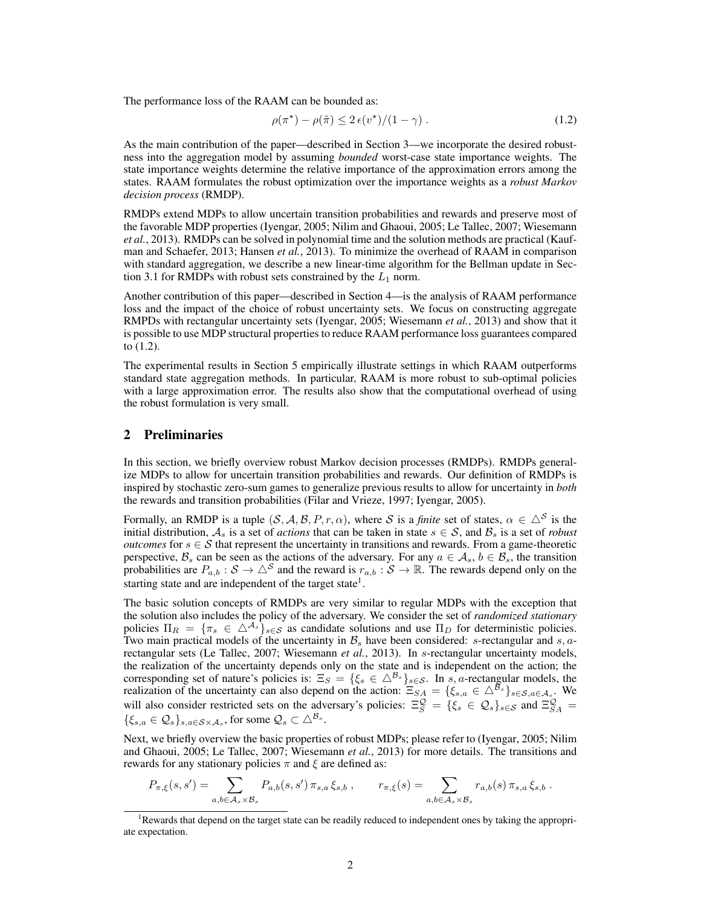The performance loss of the RAAM can be bounded as:

$$
\rho(\pi^*) - \rho(\tilde{\pi}) \le 2 \epsilon(v^*) / (1 - \gamma) \,. \tag{1.2}
$$

As the main contribution of the paper—described in Section 3—we incorporate the desired robustness into the aggregation model by assuming *bounded* worst-case state importance weights. The state importance weights determine the relative importance of the approximation errors among the states. RAAM formulates the robust optimization over the importance weights as a *robust Markov decision process* (RMDP).

RMDPs extend MDPs to allow uncertain transition probabilities and rewards and preserve most of the favorable MDP properties (Iyengar, 2005; Nilim and Ghaoui, 2005; Le Tallec, 2007; Wiesemann *et al.*, 2013). RMDPs can be solved in polynomial time and the solution methods are practical (Kaufman and Schaefer, 2013; Hansen *et al.*, 2013). To minimize the overhead of RAAM in comparison with standard aggregation, we describe a new linear-time algorithm for the Bellman update in Section 3.1 for RMDPs with robust sets constrained by the  $L_1$  norm.

Another contribution of this paper—described in Section 4—is the analysis of RAAM performance loss and the impact of the choice of robust uncertainty sets. We focus on constructing aggregate RMPDs with rectangular uncertainty sets (Iyengar, 2005; Wiesemann *et al.*, 2013) and show that it is possible to use MDP structural properties to reduce RAAM performance loss guarantees compared to (1.2).

The experimental results in Section 5 empirically illustrate settings in which RAAM outperforms standard state aggregation methods. In particular, RAAM is more robust to sub-optimal policies with a large approximation error. The results also show that the computational overhead of using the robust formulation is very small.

## 2 Preliminaries

In this section, we briefly overview robust Markov decision processes (RMDPs). RMDPs generalize MDPs to allow for uncertain transition probabilities and rewards. Our definition of RMDPs is inspired by stochastic zero-sum games to generalize previous results to allow for uncertainty in *both* the rewards and transition probabilities (Filar and Vrieze, 1997; Iyengar, 2005).

Formally, an RMDP is a tuple  $(S, A, B, P, r, \alpha)$ , where S is a *finite* set of states,  $\alpha \in \Delta^{S}$  is the initial distribution,  $A_s$  is a set of *actions* that can be taken in state  $s \in S$ , and  $B_s$  is a set of *robust outcomes* for  $s \in S$  that represent the uncertainty in transitions and rewards. From a game-theoretic perspective,  $B_s$  can be seen as the actions of the adversary. For any  $a \in A_s$ ,  $b \in B_s$ , the transition probabilities are  $P_{a,b}$ :  $S \to \triangle^S$  and the reward is  $r_{a,b}$ :  $S \to \mathbb{R}$ . The rewards depend only on the starting state and are independent of the target state<sup>1</sup>.

The basic solution concepts of RMDPs are very similar to regular MDPs with the exception that the solution also includes the policy of the adversary. We consider the set of *randomized stationary* policies  $\Pi_R = \{\pi_s \in \Delta^{\mathcal{A}_s}\}_{s \in \mathcal{S}}$  as candidate solutions and use  $\Pi_D$  for deterministic policies. Two main practical models of the uncertainty in  $\mathcal{B}_s$  have been considered: s-rectangular and s, arectangular sets (Le Tallec, 2007; Wiesemann *et al.*, 2013). In s-rectangular uncertainty models, the realization of the uncertainty depends only on the state and is independent on the action; the corresponding set of nature's policies is:  $\Xi_S = \{\xi_s \in \Delta^{\mathcal{B}_s}\}_{s \in \mathcal{S}}$ . In s, a-rectangular models, the realization of the uncertainty can also depend on the action:  $\Xi_{SA} = \{\xi_{s,a} \in \Delta^{\mathcal{B}_s}\}_{s \in S, a \in \mathcal{A}_s}$ . We will also consider restricted sets on the adversary's policies:  $\Xi_S^{\mathcal{Q}} = \{\xi_s \in \mathcal{Q}_s\}_{s \in \mathcal{S}}$  and  $\Xi_{SA}^{\mathcal{Q}} =$  $\{\xi_{s,a} \in \mathcal{Q}_s\}_{s,a \in \mathcal{S} \times \mathcal{A}_s}$ , for some  $\mathcal{Q}_s \subset \triangle^{\mathcal{B}_s}$ .

Next, we briefly overview the basic properties of robust MDPs; please refer to (Iyengar, 2005; Nilim and Ghaoui, 2005; Le Tallec, 2007; Wiesemann *et al.*, 2013) for more details. The transitions and rewards for any stationary policies  $\pi$  and  $\xi$  are defined as:

$$
P_{\pi,\xi}(s,s') = \sum_{a,b \in \mathcal{A}_s \times \mathcal{B}_s} P_{a,b}(s,s') \, \pi_{s,a} \, \xi_{s,b} \, , \qquad r_{\pi,\xi}(s) = \sum_{a,b \in \mathcal{A}_s \times \mathcal{B}_s} r_{a,b}(s) \, \pi_{s,a} \, \xi_{s,b} \, .
$$

<sup>&</sup>lt;sup>1</sup>Rewards that depend on the target state can be readily reduced to independent ones by taking the appropriate expectation.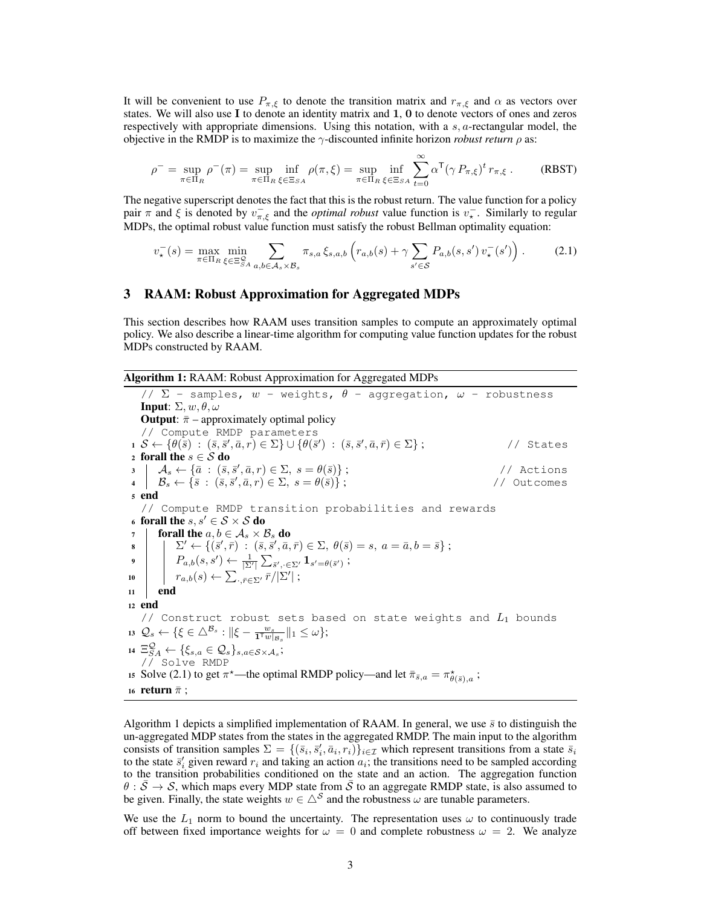It will be convenient to use  $P_{\pi,\xi}$  to denote the transition matrix and  $r_{\pi,\xi}$  and  $\alpha$  as vectors over states. We will also use I to denote an identity matrix and 1, 0 to denote vectors of ones and zeros respectively with appropriate dimensions. Using this notation, with a  $s$ ,  $a$ -rectangular model, the objective in the RMDP is to maximize the  $\gamma$ -discounted infinite horizon *robust return*  $\rho$  as:

$$
\rho^- = \sup_{\pi \in \Pi_R} \rho^-(\pi) = \sup_{\pi \in \Pi_R} \inf_{\xi \in \Xi_{SA}} \rho(\pi, \xi) = \sup_{\pi \in \Pi_R} \inf_{\xi \in \Xi_{SA}} \sum_{t=0}^{\infty} \alpha^{\mathsf{T}} (\gamma \, P_{\pi, \xi})^t \, r_{\pi, \xi} \,. \tag{RBST}
$$

The negative superscript denotes the fact that this is the robust return. The value function for a policy pair  $\pi$  and  $\xi$  is denoted by  $v_{\pi,\xi}^-$  and the *optimal robust* value function is  $v_\star^-$ . Similarly to regular MDPs, the optimal robust value function must satisfy the robust Bellman optimality equation:

$$
v_{\star}^{-}(s) = \max_{\pi \in \Pi_{R}} \min_{\xi \in \Xi_{SA}^{S}} \sum_{a,b \in \mathcal{A}_{s} \times \mathcal{B}_{s}} \pi_{s,a} \xi_{s,a,b} \left( r_{a,b}(s) + \gamma \sum_{s' \in S} P_{a,b}(s,s') \, v_{\star}^{-}(s') \right). \tag{2.1}
$$

## 3 RAAM: Robust Approximation for Aggregated MDPs

This section describes how RAAM uses transition samples to compute an approximately optimal policy. We also describe a linear-time algorithm for computing value function updates for the robust MDPs constructed by RAAM.

Algorithm 1: RAAM: Robust Approximation for Aggregated MDPs

//  $\Sigma$  - samples,  $w$  - weights,  $\theta$  - aggregation,  $\omega$  - robustness **Input:**  $\Sigma$ ,  $w$ ,  $θ$ ,  $ω$ **Output:**  $\bar{\pi}$  – approximately optimal policy // Compute RMDP parameters  $\mathbf{1} \ \mathcal{S} \leftarrow \{ \theta(\bar{s}) \ : \ (\bar{s}, \bar{s}', \bar{a}, r) \in \Sigma \} \cup \{ \theta(\bar{s}') \ : \ (\bar{s}, \bar{s}', \bar{a}, \bar{r}) \in \Sigma \} \ ;$  // States 2 forall the  $s \in \mathcal{S}$  do  $3 \mid \mathcal{A}_s \leftarrow {\bar{a} : (\bar{s}, \bar{s}', \bar{a}, r) \in \Sigma, s = \theta(\bar{s}) };$  // Actions  $\mathcal{B}_s \leftarrow \{\bar{s} \,:\, (\bar{s}, \bar{s}', \bar{a}, r) \in \Sigma, \, s = \theta(\bar{s})\} ;$  // Outcomes <sup>5</sup> end // Compute RMDP transition probabilities and rewards 6 forall the  $s, s' \in S \times S$  do forall the  $a, b \in A_s \times B_s$  do  $\mathbf{s} \quad | \quad | \quad \Sigma' \leftarrow \{ (\bar{s}', \bar{r}) \; : \; (\bar{s}, \bar{s}', \bar{a}, \bar{r}) \in \Sigma, \; \theta(\bar{s}) = s, \; a = \bar{a}, b = \bar{s} \} \; ;$  $\boxed{ \quad P_{a,b}(s,s') \leftarrow \frac{1}{|\Sigma'|}\sum_{\bar{s}',\cdot\in\Sigma'} \mathbf{1}_{s'=\theta(\bar{s}')} \ ; }$ 10  $r_{a,b}(s) \leftarrow \sum_{\cdot,\bar{r}\in\Sigma'} \bar{r}/|\Sigma'|;$ <sup>11</sup> end <sup>12</sup> end // Construct robust sets based on state weights and  $L_1$  bounds  $\mathbf{13} \ \mathcal{Q}_s \leftarrow \{\xi \in \triangle^{\mathcal{B}_s}: \|\xi - \frac{w_s}{\mathbf{1}^\top w|_{\mathcal{B}_s}}\|_1 \leq \omega\};$ 14  $\Xi_{SA}^{\mathcal{Q}} \leftarrow {\{\xi_{s,a} \in \mathcal{Q}_{s}\}_{s,a\in\mathcal{S}\times\mathcal{A}_{s}}};$ // Solve RMDP 15 Solve (2.1) to get  $\pi^*$ —the optimal RMDP policy—and let  $\bar{\pi}_{\bar{s},a} = \pi^*_{\theta(\bar{s}),a}$ ; 16 **return**  $\bar{\pi}$ ;

Algorithm 1 depicts a simplified implementation of RAAM. In general, we use  $\bar{s}$  to distinguish the un-aggregated MDP states from the states in the aggregated RMDP. The main input to the algorithm consists of transition samples  $\Sigma = \{(\bar{s}_i, \bar{s}'_i, \bar{a}_i, r_i)\}_{i \in \mathcal{I}}$  which represent transitions from a state  $\bar{s}_i$ to the state  $\bar{s}'_i$  given reward  $r_i$  and taking an action  $a_i$ ; the transitions need to be sampled according to the transition probabilities conditioned on the state and an action. The aggregation function  $\theta$  :  $\bar{S} \to S$ , which maps every MDP state from  $\bar{S}$  to an aggregate RMDP state, is also assumed to be given. Finally, the state weights  $w \in \triangle^S$  and the robustness  $\omega$  are tunable parameters.

We use the  $L_1$  norm to bound the uncertainty. The representation uses  $\omega$  to continuously trade off between fixed importance weights for  $\omega = 0$  and complete robustness  $\omega = 2$ . We analyze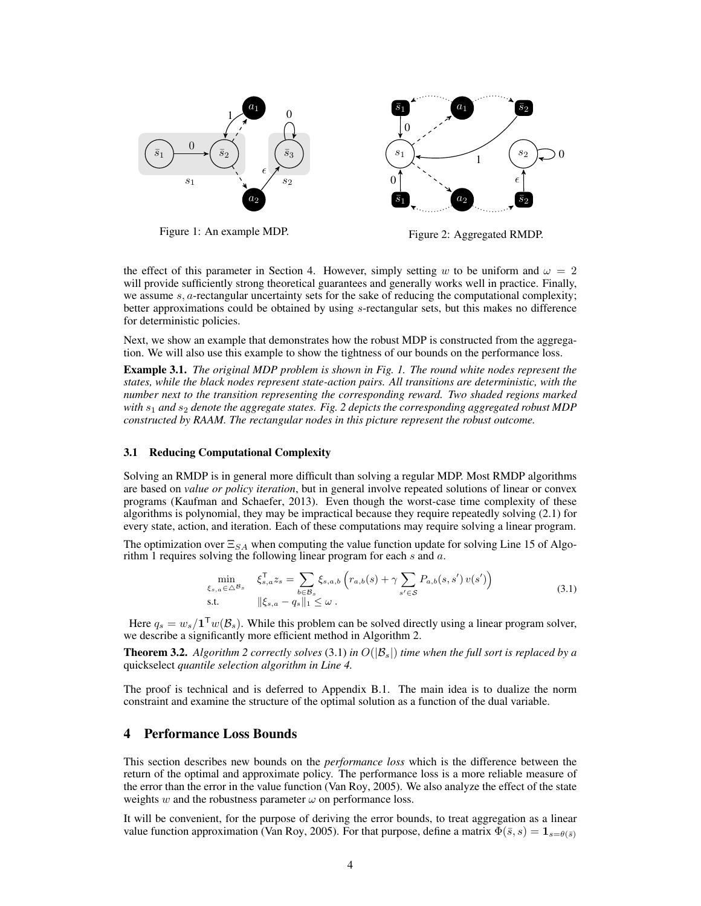

Figure 1: An example MDP.

Figure 2: Aggregated RMDP.

the effect of this parameter in Section 4. However, simply setting w to be uniform and  $\omega = 2$ will provide sufficiently strong theoretical guarantees and generally works well in practice. Finally, we assume  $s$ ,  $a$ -rectangular uncertainty sets for the sake of reducing the computational complexity; better approximations could be obtained by using s-rectangular sets, but this makes no difference for deterministic policies.

Next, we show an example that demonstrates how the robust MDP is constructed from the aggregation. We will also use this example to show the tightness of our bounds on the performance loss.

Example 3.1. *The original MDP problem is shown in Fig. 1. The round white nodes represent the states, while the black nodes represent state-action pairs. All transitions are deterministic, with the number next to the transition representing the corresponding reward. Two shaded regions marked with*  $s_1$  *and*  $s_2$  *denote the aggregate states. Fig. 2 depicts the corresponding aggregated robust MDP constructed by RAAM. The rectangular nodes in this picture represent the robust outcome.*

#### 3.1 Reducing Computational Complexity

Solving an RMDP is in general more difficult than solving a regular MDP. Most RMDP algorithms are based on *value or policy iteration*, but in general involve repeated solutions of linear or convex programs (Kaufman and Schaefer, 2013). Even though the worst-case time complexity of these algorithms is polynomial, they may be impractical because they require repeatedly solving (2.1) for every state, action, and iteration. Each of these computations may require solving a linear program.

The optimization over  $\Xi_{SA}$  when computing the value function update for solving Line 15 of Algorithm 1 requires solving the following linear program for each  $s$  and  $a$ .

$$
\min_{\xi_{s,a}\in\triangle B_s} \quad \xi_{s,a}^{\mathsf{T}} z_s = \sum_{b\in\mathcal{B}_s} \xi_{s,a,b} \left( r_{a,b}(s) + \gamma \sum_{s'\in\mathcal{S}} P_{a,b}(s,s') \, v(s') \right)
$$
\n
$$
\text{s.t.} \quad ||\xi_{s,a} - q_s||_1 \leq \omega \,.
$$
\n
$$
(3.1)
$$

Here  $q_s = w_s / 1^{\mathsf{T}} w(\mathcal{B}_s)$ . While this problem can be solved directly using a linear program solver, we describe a significantly more efficient method in Algorithm 2.

**Theorem 3.2.** *Algorithm 2 correctly solves* (3.1) *in*  $O(|B_s|)$  *time when the full sort is replaced by a* quickselect *quantile selection algorithm in Line 4.*

The proof is technical and is deferred to Appendix B.1. The main idea is to dualize the norm constraint and examine the structure of the optimal solution as a function of the dual variable.

## 4 Performance Loss Bounds

This section describes new bounds on the *performance loss* which is the difference between the return of the optimal and approximate policy. The performance loss is a more reliable measure of the error than the error in the value function (Van Roy, 2005). We also analyze the effect of the state weights w and the robustness parameter  $\omega$  on performance loss.

It will be convenient, for the purpose of deriving the error bounds, to treat aggregation as a linear value function approximation (Van Roy, 2005). For that purpose, define a matrix  $\Phi(\bar{s}, s) = \mathbf{1}_{s=\theta(\bar{s})}$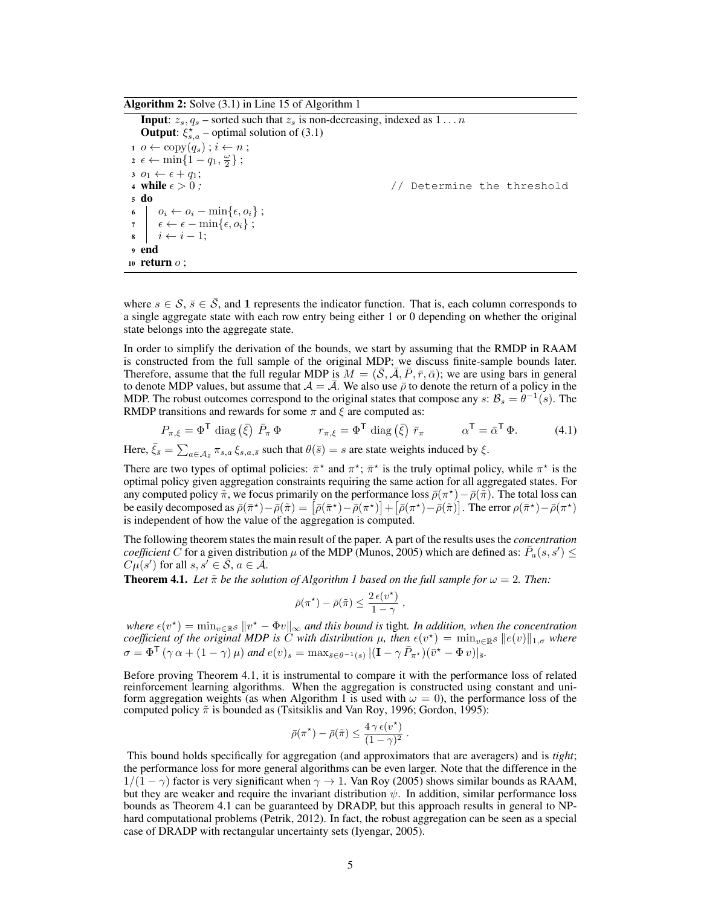Algorithm 2: Solve (3.1) in Line 15 of Algorithm 1

**Input:**  $z_s$ ,  $q_s$  – sorted such that  $z_s$  is non-decreasing, indexed as  $1 \dots n$ **Output:**  $\xi_{s,a}^{\star}$  – optimal solution of (3.1)  $i \circ \leftarrow \text{copy}(q_s)$ ;  $i \leftarrow n$ ;  $\alpha \epsilon \leftarrow \min\{1-q_1, \frac{\omega}{2}\}\; ;$ 3  $o_1 \leftarrow \epsilon + q_1;$ <br>4 while  $\epsilon > 0;$ // Determine the threshold <sup>5</sup> do 6  $o_i \leftarrow o_i - \min\{\epsilon, o_i\};$  $\begin{array}{cc} \pi & \epsilon \leftarrow \epsilon - \min\{\epsilon, o_i\} \; ; \end{array}$  $\mathbf{s} \quad i \leftarrow i-1$ : <sup>9</sup> end 10 return  $o$ ;

where  $s \in \mathcal{S}, \bar{s} \in \mathcal{S}$ , and 1 represents the indicator function. That is, each column corresponds to a single aggregate state with each row entry being either 1 or 0 depending on whether the original state belongs into the aggregate state.

In order to simplify the derivation of the bounds, we start by assuming that the RMDP in RAAM is constructed from the full sample of the original MDP; we discuss finite-sample bounds later. Therefore, assume that the full regular MDP is  $M = (\mathcal{S}, \overline{\mathcal{A}}, P, \overline{r}, \overline{\alpha})$ ; we are using bars in general to denote MDP values, but assume that  $A = \mathcal{A}$ . We also use  $\bar{\rho}$  to denote the return of a policy in the MDP. The robust outcomes correspond to the original states that compose any  $s: \mathcal{B}_s = \theta^{-1}(s)$ . The RMDP transitions and rewards for some  $\pi$  and  $\xi$  are computed as:

$$
P_{\pi,\xi} = \Phi^{\mathsf{T}} \operatorname{diag}\left(\bar{\xi}\right) \bar{P}_{\pi} \Phi \qquad \qquad r_{\pi,\xi} = \Phi^{\mathsf{T}} \operatorname{diag}\left(\bar{\xi}\right) \bar{r}_{\pi} \qquad \qquad \alpha^{\mathsf{T}} = \bar{\alpha}^{\mathsf{T}} \Phi. \tag{4.1}
$$

Here,  $\bar{\xi}_{\bar{s}} = \sum_{a \in A_{\bar{s}}} \pi_{s,a} \xi_{s,a,\bar{s}}$  such that  $\theta(\bar{s}) = s$  are state weights induced by  $\xi$ .

There are two types of optimal policies:  $\bar{\pi}^*$  and  $\pi^*$ ;  $\bar{\pi}^*$  is the truly optimal policy, while  $\pi^*$  is the optimal policy given aggregation constraints requiring the same action for all aggregated states. For any computed policy  $\tilde{\pi}$ , we focus primarily on the performance loss  $\bar{\rho}(\pi^*) - \bar{\rho}(\tilde{\pi})$ . The total loss can be easily decomposed as  $\bar{\rho}(\bar{\pi}^*) - \bar{\rho}(\tilde{\pi}) = [\bar{\rho}(\bar{\pi}^*) - \bar{\rho}(\pi^*)] + [\bar{\rho}(\pi^*) - \bar{\rho}(\tilde{\pi})]$ . The error  $\rho(\bar{\pi}^*) - \bar{\rho}(\pi^*)$ is independent of how the value of the aggregation is computed.

The following theorem states the main result of the paper. A part of the results uses the *concentration coefficient* C for a given distribution  $\mu$  of the MDP (Munos, 2005) which are defined as:  $\bar{P}_a(s, s') \leq$  $C\mu(s')$  for all  $s, s' \in \overline{S}, a \in \overline{\mathcal{A}}.$ 

**Theorem 4.1.** Let  $\tilde{\pi}$  be the solution of Algorithm 1 based on the full sample for  $\omega = 2$ . Then:

$$
\bar{\rho}(\pi^{\star}) - \bar{\rho}(\tilde{\pi}) \leq \frac{2 \epsilon(v^{\star})}{1 - \gamma} ,
$$

where  $\epsilon(v^*) = \min_{v \in \mathbb{R}^S} ||v^* - \Phi v||_{\infty}$  and this bound is tight. In addition, when the concentration *coefficient of the original MDP is*  $\ddot{C}$  *with distribution*  $\mu$ , then  $\epsilon(v^*) = \min_{v \in \mathbb{R}^S} \|e(v)\|_{1,\sigma}$  where  $\sigma = \Phi^{\mathsf{T}}(\gamma \alpha + (1 - \gamma)\mu)$  and  $e(v)_s = \max_{\bar{s} \in \theta^{-1}(s)} |(\mathbf{I} - \gamma \bar{P}_{\pi^*})(\bar{v}^* - \Phi v)|_{\bar{s}}.$ 

Before proving Theorem 4.1, it is instrumental to compare it with the performance loss of related reinforcement learning algorithms. When the aggregation is constructed using constant and uniform aggregation weights (as when Algorithm 1 is used with  $\omega = 0$ ), the performance loss of the computed policy  $\tilde{\pi}$  is bounded as (Tsitsiklis and Van Roy, 1996; Gordon, 1995):

$$
\bar{\rho}(\pi^*) - \bar{\rho}(\tilde{\pi}) \le \frac{4 \gamma \epsilon(v^*)}{(1 - \gamma)^2}.
$$

This bound holds specifically for aggregation (and approximators that are averagers) and is *tight*; the performance loss for more general algorithms can be even larger. Note that the difference in the  $1/(1 - \gamma)$  factor is very significant when  $\gamma \to 1$ . Van Roy (2005) shows similar bounds as RAAM, but they are weaker and require the invariant distribution  $\psi$ . In addition, similar performance loss bounds as Theorem 4.1 can be guaranteed by DRADP, but this approach results in general to NPhard computational problems (Petrik, 2012). In fact, the robust aggregation can be seen as a special case of DRADP with rectangular uncertainty sets (Iyengar, 2005).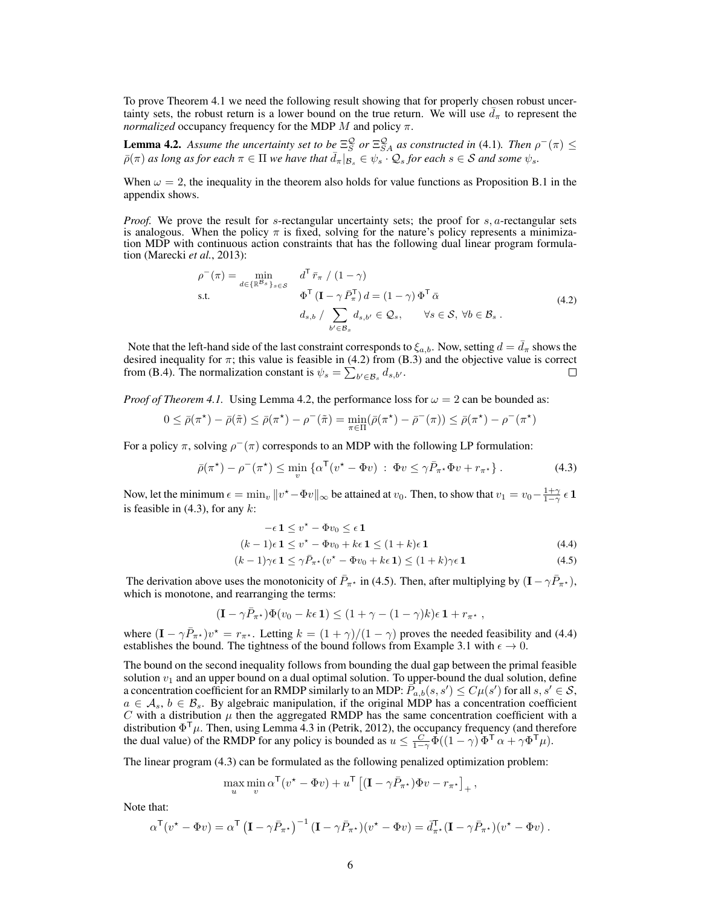To prove Theorem 4.1 we need the following result showing that for properly chosen robust uncertainty sets, the robust return is a lower bound on the true return. We will use  $\bar{d}_{\pi}$  to represent the *normalized* occupancy frequency for the MDP  $M$  and policy  $\pi$ .

**Lemma 4.2.** Assume the uncertainty set to be  $\Xi_S^{\mathcal{Q}}$  or  $\Xi_{SA}^{\mathcal{Q}}$  as constructed in (4.1). Then  $\rho^-(\pi) \leq$  $\bar{\rho}(\pi)$  *as long as for each*  $\pi \in \Pi$  *we have that*  $\bar{d}_{\pi}|_{\mathcal{B}_s} \in \psi_s \cdot \mathcal{Q}_s$  *for each*  $s \in \mathcal{S}$  *and some*  $\psi_s$ *.* 

When  $\omega = 2$ , the inequality in the theorem also holds for value functions as Proposition B.1 in the appendix shows.

*Proof.* We prove the result for s-rectangular uncertainty sets; the proof for s, a-rectangular sets is analogous. When the policy  $\pi$  is fixed, solving for the nature's policy represents a minimization MDP with continuous action constraints that has the following dual linear program formulation (Marecki *et al.*, 2013):

$$
\rho^{-}(\pi) = \min_{d \in \{\mathbb{R}^{\mathcal{B}_{s}}\}_{s \in \mathcal{S}}} d^{\mathsf{T}} \bar{r}_{\pi} / (1 - \gamma)
$$
  
s.t. 
$$
\Phi^{\mathsf{T}} (\mathbf{I} - \gamma \bar{P}_{\pi}^{\mathsf{T}}) d = (1 - \gamma) \Phi^{\mathsf{T}} \bar{\alpha}
$$

$$
d_{s,b} / \sum_{b' \in \mathcal{B}_{s}} d_{s,b'} \in \mathcal{Q}_{s}, \qquad \forall s \in \mathcal{S}, \forall b \in \mathcal{B}_{s}.
$$
(4.2)

Note that the left-hand side of the last constraint corresponds to  $\xi_{a,b}$ . Now, setting  $d = \overline{d}_{\pi}$  shows the desired inequality for  $\pi$ ; this value is feasible in (4.2) from (B.3) and the objective value is correct from (B.4). The normalization constant is  $\psi_s = \sum_{b' \in \mathcal{B}_s} d_{s,b'}$ .

*Proof of Theorem 4.1.* Using Lemma 4.2, the performance loss for  $\omega = 2$  can be bounded as:

$$
0 \leq \bar{\rho}(\pi^*) - \bar{\rho}(\tilde{\pi}) \leq \bar{\rho}(\pi^*) - \rho^-(\tilde{\pi}) = \min_{\pi \in \Pi} (\bar{\rho}(\pi^*) - \bar{\rho}^-(\pi)) \leq \bar{\rho}(\pi^*) - \rho^-(\pi^*)
$$

For a policy  $\pi$ , solving  $\rho^-(\pi)$  corresponds to an MDP with the following LP formulation:

$$
\bar{\rho}(\pi^*) - \rho^-(\pi^*) \le \min_v \left\{ \alpha^{\mathsf{T}}(v^* - \Phi v) \; : \; \Phi v \le \gamma \bar{P}_{\pi^*} \Phi v + r_{\pi^*} \right\}. \tag{4.3}
$$

Now, let the minimum  $\epsilon = \min_v \|v^* - \Phi v\|_{\infty}$  be attained at  $v_0$ . Then, to show that  $v_1 = v_0 - \frac{1+\gamma}{1-\gamma} \epsilon \mathbf{1}$ is feasible in  $(4.3)$ , for any  $k$ :

$$
-\epsilon \, \mathbf{1} \leq v^\star - \Phi v_0 \leq \epsilon \, \mathbf{1}
$$

$$
(k-1)\epsilon \mathbf{1} \le v^* - \Phi v_0 + k\epsilon \mathbf{1} \le (1+k)\epsilon \mathbf{1}
$$
\n
$$
(4.4)
$$

$$
(k-1)\gamma\epsilon \mathbf{1} \le \gamma \bar{P}_{\pi^*}(v^* - \Phi v_0 + k\epsilon \mathbf{1}) \le (1+k)\gamma\epsilon \mathbf{1}
$$
\n(4.5)

The derivation above uses the monotonicity of  $\bar{P}_{\pi^*}$  in (4.5). Then, after multiplying by  $(I - \gamma \bar{P}_{\pi^*})$ , which is monotone, and rearranging the terms:

$$
(\mathbf{I} - \gamma \bar{P}_{\pi^\star}) \Phi(v_0 - k\epsilon \, \mathbf{1}) \leq (1 + \gamma - (1-\gamma)k)\epsilon \, \mathbf{1} + r_{\pi^\star} \;,
$$

where  $(I - \gamma \bar{P}_{\pi^*})v^* = r_{\pi^*}$ . Letting  $k = (1 + \gamma)/(1 - \gamma)$  proves the needed feasibility and (4.4) establishes the bound. The tightness of the bound follows from Example 3.1 with  $\epsilon \to 0$ .

The bound on the second inequality follows from bounding the dual gap between the primal feasible solution  $v_1$  and an upper bound on a dual optimal solution. To upper-bound the dual solution, define a concentration coefficient for an RMDP similarly to an MDP:  $\overline{P}_{a,b}^{1}(s,s') \leq C\mu(s')$  for all  $s,s' \in \mathcal{S}$ ,  $a \in \mathcal{A}_s$ ,  $b \in \mathcal{B}_s$ . By algebraic manipulation, if the original MDP has a concentration coefficient  $C$  with a distribution  $\mu$  then the aggregated RMDP has the same concentration coefficient with a distribution  $\Phi^{\mathsf{T}} \mu$ . Then, using Lemma 4.3 in (Petrik, 2012), the occupancy frequency (and therefore the dual value) of the RMDP for any policy is bounded as  $u \leq \frac{C}{1-\gamma} \tilde{\Phi}((1-\gamma) \tilde{\Phi}^T \alpha + \gamma \Phi^T \mu)$ .

The linear program (4.3) can be formulated as the following penalized optimization problem:

$$
\max_{u} \min_{v} \alpha^{\mathsf{T}}(v^{\star} - \Phi v) + u^{\mathsf{T}} \left[ (\mathbf{I} - \gamma \bar{P}_{\pi^{\star}}) \Phi v - r_{\pi^{\star}} \right]_{+},
$$

Note that:

$$
\alpha^{\mathsf{T}}(v^{\star} - \Phi v) = \alpha^{\mathsf{T}} \left( \mathbf{I} - \gamma \bar{P}_{\pi^{\star}} \right)^{-1} \left( \mathbf{I} - \gamma \bar{P}_{\pi^{\star}} \right) \left( v^{\star} - \Phi v \right) = \bar{d}_{\pi^{\star}}^{\mathsf{T}} \left( \mathbf{I} - \gamma \bar{P}_{\pi^{\star}} \right) \left( v^{\star} - \Phi v \right).
$$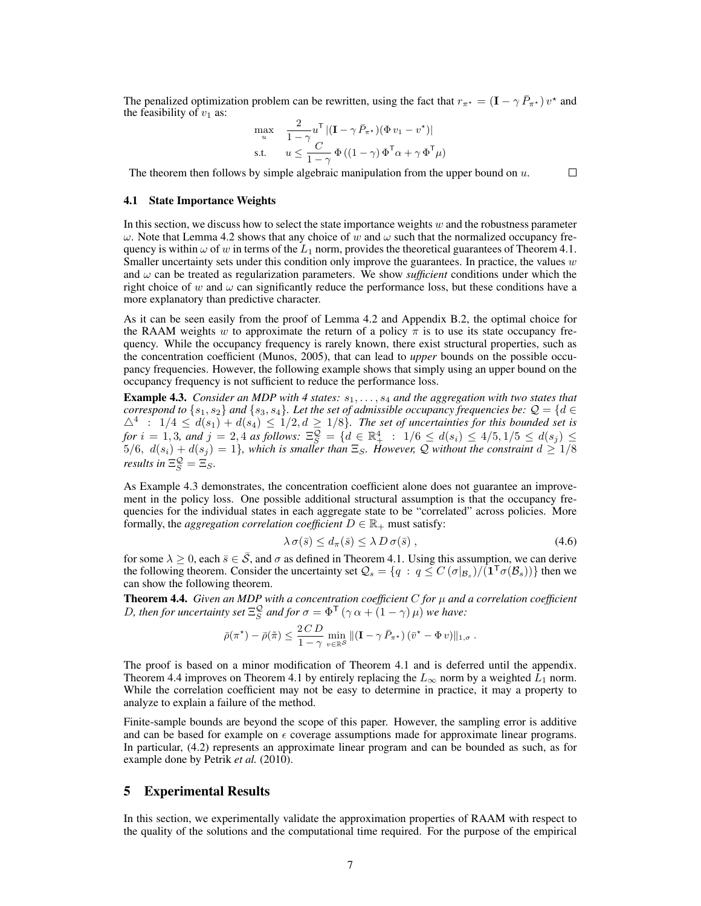The penalized optimization problem can be rewritten, using the fact that  $r_{\pi^*} = (\mathbf{I} - \gamma \bar{P}_{\pi^*}) v^*$  and the feasibility of  $v_1$  as:

$$
\max_{u} \quad \frac{2}{1-\gamma} u^{\mathsf{T}} \left| (\mathbf{I} - \gamma \, \bar{P}_{\pi^*}) (\Phi \, v_1 - v^*) \right|
$$
\ns.t. 
$$
u \leq \frac{C}{1-\gamma} \, \Phi \left( (1-\gamma) \, \Phi^{\mathsf{T}} \alpha + \gamma \, \Phi^{\mathsf{T}} \mu \right)
$$

The theorem then follows by simple algebraic manipulation from the upper bound on  $u$ .  $\Box$ 

#### 4.1 State Importance Weights

In this section, we discuss how to select the state importance weights  $w$  and the robustness parameter  $\omega$ . Note that Lemma 4.2 shows that any choice of w and  $\omega$  such that the normalized occupancy frequency is within  $\omega$  of w in terms of the  $L_1$  norm, provides the theoretical guarantees of Theorem 4.1. Smaller uncertainty sets under this condition only improve the guarantees. In practice, the values  $w$ and  $\omega$  can be treated as regularization parameters. We show *sufficient* conditions under which the right choice of w and  $\omega$  can significantly reduce the performance loss, but these conditions have a more explanatory than predictive character.

As it can be seen easily from the proof of Lemma 4.2 and Appendix B.2, the optimal choice for the RAAM weights w to approximate the return of a policy  $\pi$  is to use its state occupancy frequency. While the occupancy frequency is rarely known, there exist structural properties, such as the concentration coefficient (Munos, 2005), that can lead to *upper* bounds on the possible occupancy frequencies. However, the following example shows that simply using an upper bound on the occupancy frequency is not sufficient to reduce the performance loss.

Example 4.3. *Consider an MDP with 4 states:*  $s_1, \ldots, s_4$  *and the aggregation with two states that correspond to*  $\{s_1, s_2\}$  *and*  $\{s_3, s_4\}$ *. Let the set of admissible occupancy frequencies be:*  $\mathcal{Q} = \{d \in \mathcal{Q} \}$  $\Delta^4$  :  $1/4 \leq d(s_1) + d(s_4) \leq 1/2, d \geq 1/8$ *. The set of uncertainties for this bounded set is for*  $i = 1, 3$ *, and*  $j = 2, 4$  *as follows:*  $\Xi_S^{\mathcal{Q}} = \{d \in \mathbb{R}_+^4 : 1/6 \leq d(s_i) \leq 4/5, 1/5 \leq d(s_j) \leq 4/5, 1/5 \leq d(s_j) \leq 4/5, 1/5 \leq d(s_j) \leq 4/5, 1/5 \leq d(s_j) \leq 4/5, 1/5 \leq d(s_j) \leq 4/5, 1/5 \leq d(s_j) \leq 4/5, 1/5 \leq d(s_j) \leq$  $5/6, d(s_i) + d(s_j) = 1$ , which is smaller than  $\Xi_S$ . However, Q without the constraint  $d \geq 1/8$ *results in*  $\Xi_S^{\mathcal{Q}} = \Xi_S$ .

As Example 4.3 demonstrates, the concentration coefficient alone does not guarantee an improvement in the policy loss. One possible additional structural assumption is that the occupancy frequencies for the individual states in each aggregate state to be "correlated" across policies. More formally, the *aggregation correlation coefficient*  $D \in \mathbb{R}_+$  must satisfy:

$$
\lambda \sigma(\bar{s}) \le d_{\pi}(\bar{s}) \le \lambda D \sigma(\bar{s}), \qquad (4.6)
$$

for some  $\lambda \geq 0$ , each  $\bar{s} \in \bar{S}$ , and  $\sigma$  as defined in Theorem 4.1. Using this assumption, we can derive the following theorem. Consider the uncertainty set  $\mathcal{Q}_s = \{q : q \leq C(\sigma|_{\mathcal{B}_s})/(\mathbf{1}^T\sigma(\mathcal{B}_s))\}$  then we can show the following theorem.

Theorem 4.4. *Given an MDP with a concentration coefficient* C *for* µ *and a correlation coefficient D*, then for uncertainty set  $\Xi_S^{\mathcal{Q}}$  and for  $\sigma = \Phi^{\mathsf{T}}(\gamma \alpha + (1 - \gamma) \mu)$  we have:

$$
\bar{\rho}(\pi^*) - \bar{\rho}(\tilde{\pi}) \leq \frac{2\,CD}{1-\gamma} \min_{v \in \mathbb{R}^{\mathcal{S}}} \| (\mathbf{I} - \gamma \, \bar{P}_{\pi^*}) \, (\bar{v}^* - \Phi \, v) \|_{1,\sigma} \, .
$$

The proof is based on a minor modification of Theorem 4.1 and is deferred until the appendix. Theorem 4.4 improves on Theorem 4.1 by entirely replacing the  $L_{\infty}$  norm by a weighted  $L_1$  norm. While the correlation coefficient may not be easy to determine in practice, it may a property to analyze to explain a failure of the method.

Finite-sample bounds are beyond the scope of this paper. However, the sampling error is additive and can be based for example on  $\epsilon$  coverage assumptions made for approximate linear programs. In particular, (4.2) represents an approximate linear program and can be bounded as such, as for example done by Petrik et al. (2010).

# 5 Experimental Results

In this section, we experimentally validate the approximation properties of RAAM with respect to the quality of the solutions and the computational time required. For the purpose of the empirical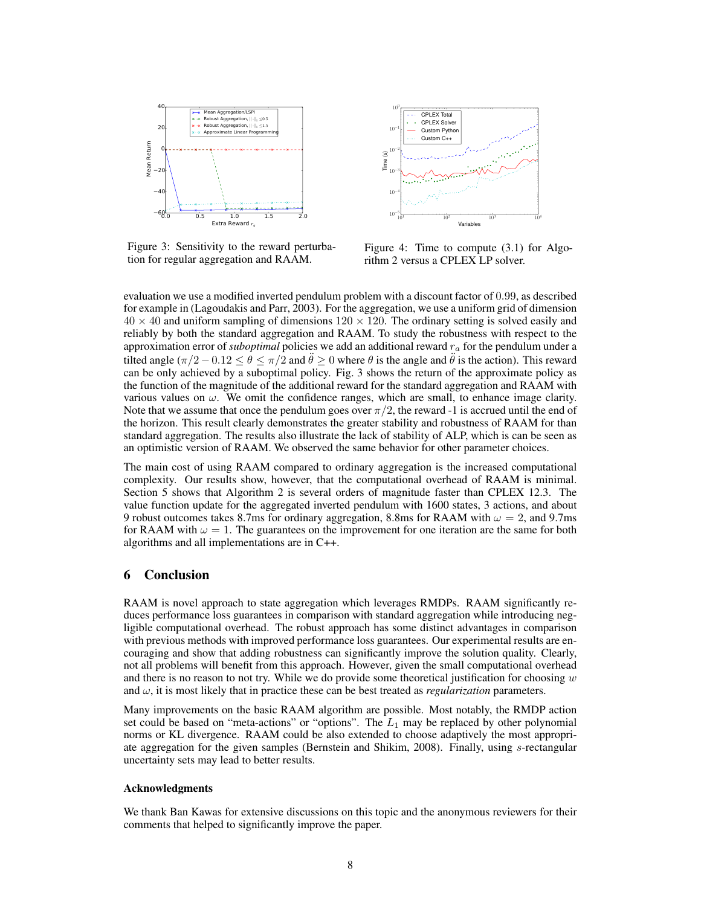

Figure 3: Sensitivity to the reward perturbation for regular aggregation and RAAM.



Figure 4: Time to compute (3.1) for Algorithm 2 versus a CPLEX LP solver.

evaluation we use a modified inverted pendulum problem with a discount factor of 0.99, as described for example in (Lagoudakis and Parr, 2003). For the aggregation, we use a uniform grid of dimension  $40 \times 40$  and uniform sampling of dimensions  $120 \times 120$ . The ordinary setting is solved easily and reliably by both the standard aggregation and RAAM. To study the robustness with respect to the approximation error of *suboptimal* policies we add an additional reward r<sup>a</sup> for the pendulum under a tilted angle  $(\pi/2 - 0.12 \le \theta \le \pi/2$  and  $\ddot{\theta} \ge 0$  where  $\theta$  is the angle and  $\ddot{\theta}$  is the action). This reward can be only achieved by a suboptimal policy. Fig. 3 shows the return of the approximate policy as the function of the magnitude of the additional reward for the standard aggregation and RAAM with various values on  $\omega$ . We omit the confidence ranges, which are small, to enhance image clarity. Note that we assume that once the pendulum goes over  $\pi/2$ , the reward -1 is accrued until the end of the horizon. This result clearly demonstrates the greater stability and robustness of RAAM for than standard aggregation. The results also illustrate the lack of stability of ALP, which is can be seen as an optimistic version of RAAM. We observed the same behavior for other parameter choices.

The main cost of using RAAM compared to ordinary aggregation is the increased computational complexity. Our results show, however, that the computational overhead of RAAM is minimal. Section 5 shows that Algorithm 2 is several orders of magnitude faster than CPLEX 12.3. The value function update for the aggregated inverted pendulum with 1600 states, 3 actions, and about 9 robust outcomes takes 8.7ms for ordinary aggregation, 8.8ms for RAAM with  $\omega = 2$ , and 9.7ms for RAAM with  $\omega = 1$ . The guarantees on the improvement for one iteration are the same for both algorithms and all implementations are in C++.

# 6 Conclusion

RAAM is novel approach to state aggregation which leverages RMDPs. RAAM significantly reduces performance loss guarantees in comparison with standard aggregation while introducing negligible computational overhead. The robust approach has some distinct advantages in comparison with previous methods with improved performance loss guarantees. Our experimental results are encouraging and show that adding robustness can significantly improve the solution quality. Clearly, not all problems will benefit from this approach. However, given the small computational overhead and there is no reason to not try. While we do provide some theoretical justification for choosing  $w$ and  $\omega$ , it is most likely that in practice these can be best treated as *regularization* parameters.

Many improvements on the basic RAAM algorithm are possible. Most notably, the RMDP action set could be based on "meta-actions" or "options". The  $L_1$  may be replaced by other polynomial norms or KL divergence. RAAM could be also extended to choose adaptively the most appropriate aggregation for the given samples (Bernstein and Shikim, 2008). Finally, using s-rectangular uncertainty sets may lead to better results.

#### Acknowledgments

We thank Ban Kawas for extensive discussions on this topic and the anonymous reviewers for their comments that helped to significantly improve the paper.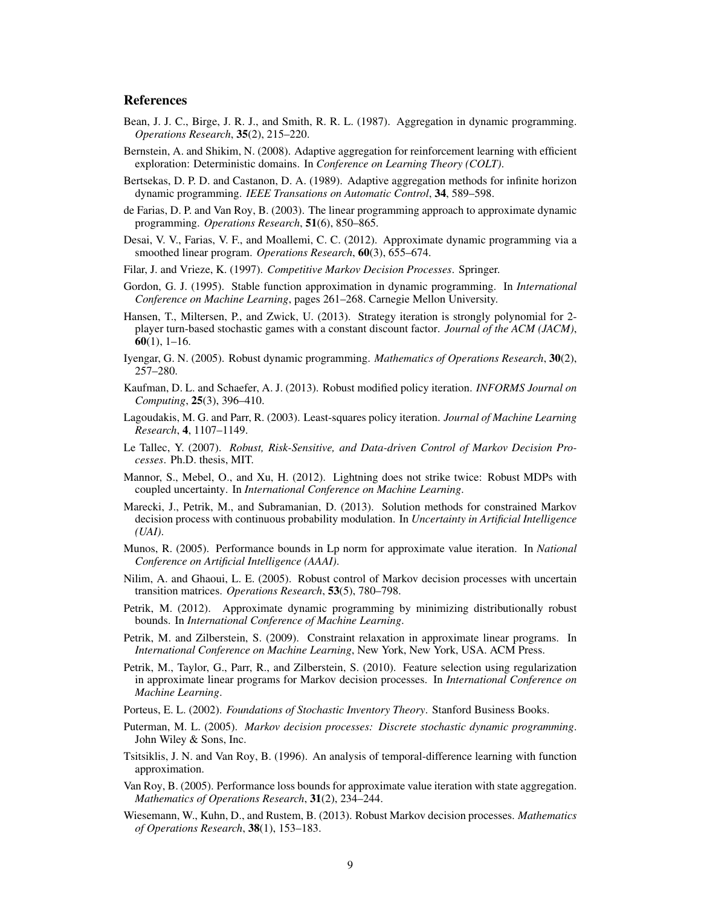## References

- Bean, J. J. C., Birge, J. R. J., and Smith, R. R. L. (1987). Aggregation in dynamic programming. *Operations Research*, 35(2), 215–220.
- Bernstein, A. and Shikim, N. (2008). Adaptive aggregation for reinforcement learning with efficient exploration: Deterministic domains. In *Conference on Learning Theory (COLT)*.
- Bertsekas, D. P. D. and Castanon, D. A. (1989). Adaptive aggregation methods for infinite horizon dynamic programming. *IEEE Transations on Automatic Control*, 34, 589–598.
- de Farias, D. P. and Van Roy, B. (2003). The linear programming approach to approximate dynamic programming. *Operations Research*, 51(6), 850–865.
- Desai, V. V., Farias, V. F., and Moallemi, C. C. (2012). Approximate dynamic programming via a smoothed linear program. *Operations Research*, 60(3), 655–674.
- Filar, J. and Vrieze, K. (1997). *Competitive Markov Decision Processes*. Springer.
- Gordon, G. J. (1995). Stable function approximation in dynamic programming. In *International Conference on Machine Learning*, pages 261–268. Carnegie Mellon University.
- Hansen, T., Miltersen, P., and Zwick, U. (2013). Strategy iteration is strongly polynomial for 2 player turn-based stochastic games with a constant discount factor. *Journal of the ACM (JACM)*,  $60(1)$ , 1–16.
- Iyengar, G. N. (2005). Robust dynamic programming. *Mathematics of Operations Research*, 30(2), 257–280.
- Kaufman, D. L. and Schaefer, A. J. (2013). Robust modified policy iteration. *INFORMS Journal on Computing*, 25(3), 396–410.
- Lagoudakis, M. G. and Parr, R. (2003). Least-squares policy iteration. *Journal of Machine Learning Research*, 4, 1107–1149.
- Le Tallec, Y. (2007). *Robust, Risk-Sensitive, and Data-driven Control of Markov Decision Processes*. Ph.D. thesis, MIT.
- Mannor, S., Mebel, O., and Xu, H. (2012). Lightning does not strike twice: Robust MDPs with coupled uncertainty. In *International Conference on Machine Learning*.
- Marecki, J., Petrik, M., and Subramanian, D. (2013). Solution methods for constrained Markov decision process with continuous probability modulation. In *Uncertainty in Artificial Intelligence (UAI)*.
- Munos, R. (2005). Performance bounds in Lp norm for approximate value iteration. In *National Conference on Artificial Intelligence (AAAI)*.
- Nilim, A. and Ghaoui, L. E. (2005). Robust control of Markov decision processes with uncertain transition matrices. *Operations Research*, 53(5), 780–798.
- Petrik, M. (2012). Approximate dynamic programming by minimizing distributionally robust bounds. In *International Conference of Machine Learning*.
- Petrik, M. and Zilberstein, S. (2009). Constraint relaxation in approximate linear programs. In *International Conference on Machine Learning*, New York, New York, USA. ACM Press.
- Petrik, M., Taylor, G., Parr, R., and Zilberstein, S. (2010). Feature selection using regularization in approximate linear programs for Markov decision processes. In *International Conference on Machine Learning*.
- Porteus, E. L. (2002). *Foundations of Stochastic Inventory Theory*. Stanford Business Books.
- Puterman, M. L. (2005). *Markov decision processes: Discrete stochastic dynamic programming*. John Wiley & Sons, Inc.
- Tsitsiklis, J. N. and Van Roy, B. (1996). An analysis of temporal-difference learning with function approximation.
- Van Roy, B. (2005). Performance loss bounds for approximate value iteration with state aggregation. *Mathematics of Operations Research*, 31(2), 234–244.
- Wiesemann, W., Kuhn, D., and Rustem, B. (2013). Robust Markov decision processes. *Mathematics of Operations Research*, 38(1), 153–183.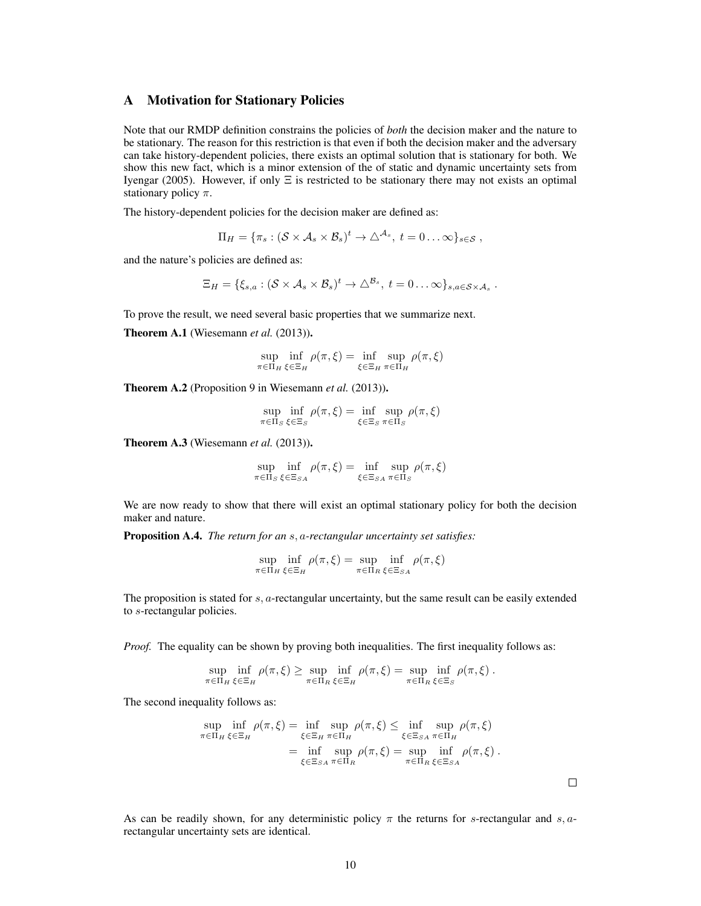# A Motivation for Stationary Policies

Note that our RMDP definition constrains the policies of *both* the decision maker and the nature to be stationary. The reason for this restriction is that even if both the decision maker and the adversary can take history-dependent policies, there exists an optimal solution that is stationary for both. We show this new fact, which is a minor extension of the of static and dynamic uncertainty sets from Iyengar (2005). However, if only  $\Xi$  is restricted to be stationary there may not exists an optimal stationary policy  $\pi$ .

The history-dependent policies for the decision maker are defined as:

$$
\Pi_H = \{ \pi_s : (\mathcal{S} \times \mathcal{A}_s \times \mathcal{B}_s)^t \to \triangle^{\mathcal{A}_s}, t = 0 \dots \infty \}_{s \in \mathcal{S}},
$$

and the nature's policies are defined as:

$$
\Xi_H = \{ \xi_{s,a} : (\mathcal{S} \times \mathcal{A}_s \times \mathcal{B}_s)^t \to \triangle^{\mathcal{B}_s}, t = 0 \dots \infty \}_{s,a \in \mathcal{S} \times \mathcal{A}_s}.
$$

To prove the result, we need several basic properties that we summarize next.

Theorem A.1 (Wiesemann et al. (2013)).

$$
\sup_{\pi \in \Pi_H} \inf_{\xi \in \Xi_H} \rho(\pi, \xi) = \inf_{\xi \in \Xi_H} \sup_{\pi \in \Pi_H} \rho(\pi, \xi)
$$

Theorem A.2 (Proposition 9 in Wiesemann *et al.* (2013)).

$$
\sup_{\pi \in \Pi_S} \inf_{\xi \in \Xi_S} \rho(\pi, \xi) = \inf_{\xi \in \Xi_S} \sup_{\pi \in \Pi_S} \rho(\pi, \xi)
$$

Theorem A.3 (Wiesemann *et al.* (2013)).

$$
\sup_{\pi \in \Pi_S} \inf_{\xi \in \Xi_{SA}} \rho(\pi, \xi) = \inf_{\xi \in \Xi_{SA}} \sup_{\pi \in \Pi_S} \rho(\pi, \xi)
$$

We are now ready to show that there will exist an optimal stationary policy for both the decision maker and nature.

Proposition A.4. *The return for an* s, a*-rectangular uncertainty set satisfies:*

$$
\sup_{\pi \in \Pi_H} \inf_{\xi \in \Xi_H} \rho(\pi, \xi) = \sup_{\pi \in \Pi_R} \inf_{\xi \in \Xi_{SA}} \rho(\pi, \xi)
$$

The proposition is stated for  $s$ ,  $a$ -rectangular uncertainty, but the same result can be easily extended to s-rectangular policies.

*Proof.* The equality can be shown by proving both inequalities. The first inequality follows as:

$$
\sup_{\pi \in \Pi_H} \inf_{\xi \in \Xi_H} \rho(\pi, \xi) \ge \sup_{\pi \in \Pi_R} \inf_{\xi \in \Xi_H} \rho(\pi, \xi) = \sup_{\pi \in \Pi_R} \inf_{\xi \in \Xi_S} \rho(\pi, \xi).
$$

The second inequality follows as:

$$
\sup_{\pi \in \Pi_H} \inf_{\xi \in \Xi_H} \rho(\pi, \xi) = \inf_{\xi \in \Xi_H} \sup_{\pi \in \Pi_H} \rho(\pi, \xi) \le \inf_{\xi \in \Xi_{SA}} \sup_{\pi \in \Pi_H} \rho(\pi, \xi)
$$

$$
= \inf_{\xi \in \Xi_{SA}} \sup_{\pi \in \Pi_R} \rho(\pi, \xi) = \sup_{\pi \in \Pi_R} \inf_{\xi \in \Xi_{SA}} \rho(\pi, \xi) .
$$

As can be readily shown, for any deterministic policy  $\pi$  the returns for s-rectangular and s, arectangular uncertainty sets are identical.

 $\Box$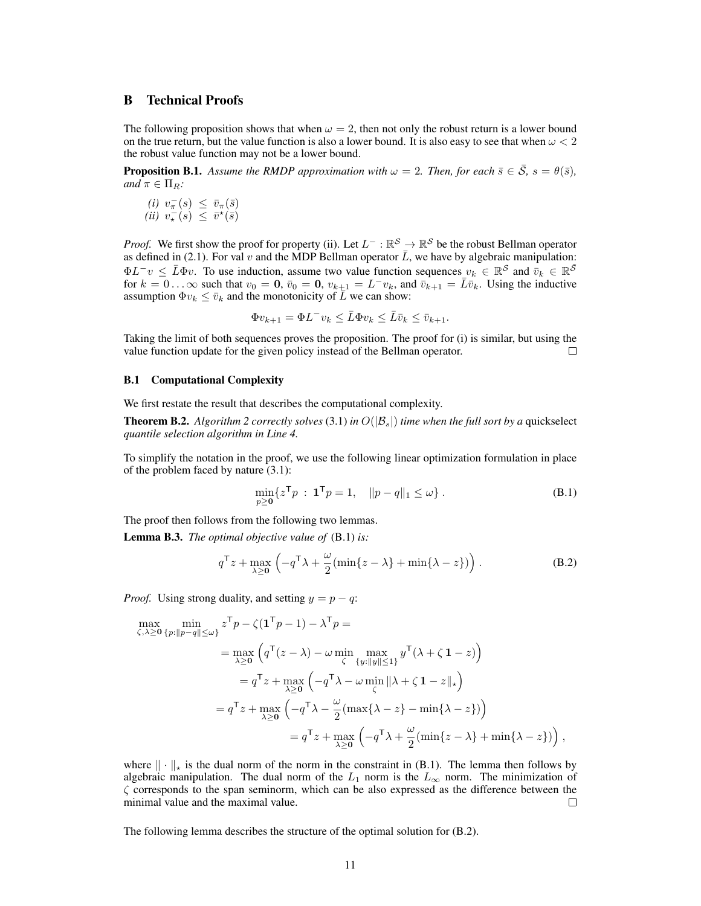# B Technical Proofs

The following proposition shows that when  $\omega = 2$ , then not only the robust return is a lower bound on the true return, but the value function is also a lower bound. It is also easy to see that when  $\omega < 2$ the robust value function may not be a lower bound.

**Proposition B.1.** *Assume the RMDP approximation with*  $\omega = 2$ *. Then, for each*  $\bar{s} \in \bar{S}$ *, s* =  $\theta(\bar{s})$ *, and*  $\pi \in \Pi_R$ *:* 

 $(i)$   $v_{\pi}^{-}(s) \leq \bar{v}_{\pi}(\bar{s})$  $(ii)$   $v^{\text{m}}_{\star}(s) \leq \bar{v}^{\star}(\bar{s})$ 

*Proof.* We first show the proof for property (ii). Let  $L^- : \mathbb{R}^S \to \mathbb{R}^S$  be the robust Bellman operator as defined in (2.1). For val v and the MDP Bellman operator  $\overline{L}$ , we have by algebraic manipulation:  $\Phi L^{-}v \leq \bar{L}\Phi v$ . To use induction, assume two value function sequences  $v_k \in \mathbb{R}^{\mathcal{S}}$  and  $\bar{v}_k \in \mathbb{R}^{\bar{\mathcal{S}}}$ for  $k = 0$ ... $\infty$  such that  $v_0 = 0$ ,  $\bar{v}_0 = 0$ ,  $v_{k+1} = L^- v_k$ , and  $\bar{v}_{k+1} = \bar{L} \bar{v}_k$ . Using the inductive assumption  $\Phi v_k \leq \bar{v}_k$  and the monotonicity of  $\bar{L}$  we can show:

$$
\Phi v_{k+1} = \Phi L^{-} v_k \leq \bar{L} \Phi v_k \leq \bar{L} \bar{v}_k \leq \bar{v}_{k+1}.
$$

Taking the limit of both sequences proves the proposition. The proof for (i) is similar, but using the value function update for the given policy instead of the Bellman operator. П

#### B.1 Computational Complexity

We first restate the result that describes the computational complexity.

**Theorem B.2.** *Algorithm 2 correctly solves* (3.1) *in*  $O(|B_s|)$  *time when the full sort by a* quickselect *quantile selection algorithm in Line 4.*

To simplify the notation in the proof, we use the following linear optimization formulation in place of the problem faced by nature (3.1):

$$
\min_{p\geq 0} \{ z^{\mathsf{T}} p : \mathbf{1}^{\mathsf{T}} p = 1, \quad \| p - q \|_1 \leq \omega \} .
$$
 (B.1)

The proof then follows from the following two lemmas.

Lemma B.3. *The optimal objective value of* (B.1) *is:*

$$
q^{\mathsf{T}}z + \max_{\lambda \ge 0} \left( -q^{\mathsf{T}}\lambda + \frac{\omega}{2}(\min\{z - \lambda\} + \min\{\lambda - z\}) \right). \tag{B.2}
$$

*Proof.* Using strong duality, and setting  $y = p - q$ :

$$
\max_{\zeta,\lambda\geq 0} \min_{\{p:\|p-q\|\leq\omega\}} z^{\mathsf{T}} p - \zeta (\mathbf{1}^{\mathsf{T}} p - 1) - \lambda^{\mathsf{T}} p =
$$
\n
$$
= \max_{\lambda\geq 0} \left( q^{\mathsf{T}} (z - \lambda) - \omega \min_{\zeta} \max_{\{y:\|y\|\leq 1\}} y^{\mathsf{T}} (\lambda + \zeta \mathbf{1} - z) \right)
$$
\n
$$
= q^{\mathsf{T}} z + \max_{\lambda\geq 0} \left( -q^{\mathsf{T}} \lambda - \omega \min_{\zeta} \|\lambda + \zeta \mathbf{1} - z\|_{\star} \right)
$$
\n
$$
= q^{\mathsf{T}} z + \max_{\lambda\geq 0} \left( -q^{\mathsf{T}} \lambda - \frac{\omega}{2} (\max\{\lambda - z\} - \min\{\lambda - z\}) \right)
$$
\n
$$
= q^{\mathsf{T}} z + \max_{\lambda\geq 0} \left( -q^{\mathsf{T}} \lambda + \frac{\omega}{2} (\min\{z - \lambda\} + \min\{\lambda - z\}) \right),
$$

where  $\|\cdot\|_{\star}$  is the dual norm of the norm in the constraint in (B.1). The lemma then follows by algebraic manipulation. The dual norm of the  $L_1$  norm is the  $L_{\infty}$  norm. The minimization of  $\zeta$  corresponds to the span seminorm, which can be also expressed as the difference between the minimal value and the maximal value.  $\Box$ 

The following lemma describes the structure of the optimal solution for (B.2).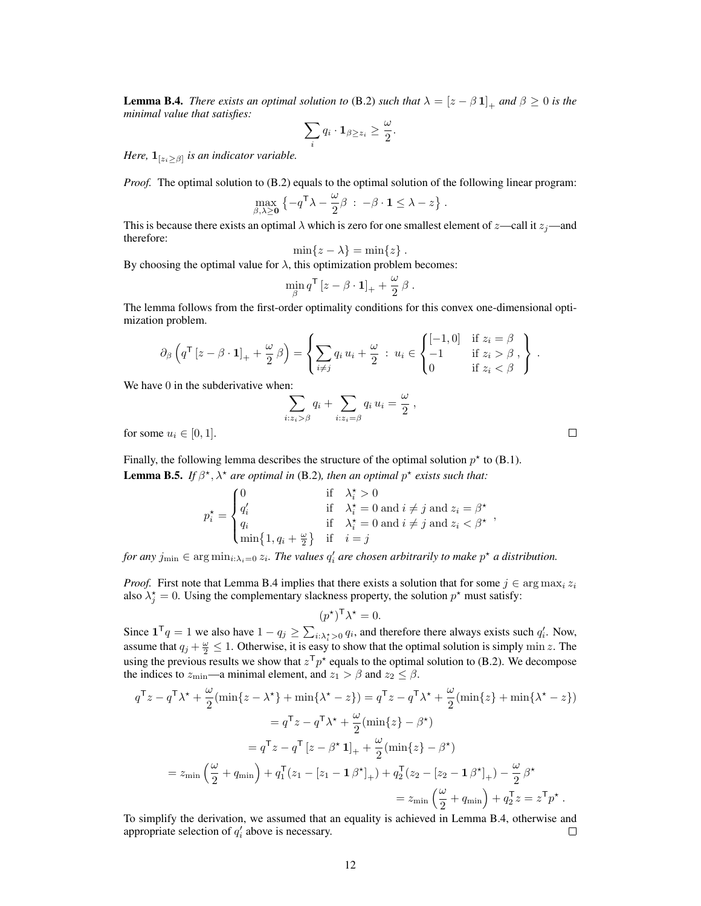**Lemma B.4.** *There exists an optimal solution to* (B.2) *such that*  $\lambda = [z - \beta 1]_+$  *and*  $\beta \ge 0$  *is the minimal value that satisfies:*

$$
\sum_i q_i \cdot \mathbf{1}_{\beta \geq z_i} \geq \frac{\omega}{2}.
$$

*Here*,  $\mathbf{1}_{[z_i \geq \beta]}$  *is an indicator variable.* 

*Proof.* The optimal solution to (B.2) equals to the optimal solution of the following linear program:

$$
\max_{\beta,\lambda\geq 0} \left\{-q^{\mathsf{T}}\lambda-\frac{\omega}{2}\beta \,:\, -\beta\cdot \mathbf{1}\leq \lambda-z\right\}.
$$

This is because there exists an optimal  $\lambda$  which is zero for one smallest element of  $z$ —call it  $z_j$ —and therefore:

$$
\min\{z-\lambda\} = \min\{z\} .
$$

By choosing the optimal value for  $\lambda$ , this optimization problem becomes:

$$
\min_{\beta} q^{\mathsf{T}} \left[ z - \beta \cdot \mathbf{1} \right]_{+} + \frac{\omega}{2} \beta \,.
$$

The lemma follows from the first-order optimality conditions for this convex one-dimensional optimization problem.

$$
\partial_{\beta}\left(q^{\mathsf{T}}\left[z-\beta\cdot\mathbf{1}\right]_{+}+\frac{\omega}{2}\beta\right)=\left\{\sum_{i\neq j}q_{i}\,u_{i}+\frac{\omega}{2}\,:\,u_{i}\in\begin{cases}\left[-1,0\right] & \text{if }z_{i}=\beta\\-1 & \text{if }z_{i}>\beta\\0 & \text{if }z_{i}<\beta\end{cases}\right\}\,.
$$

We have 0 in the subderivative when:

$$
\sum_{i:z_i>\beta} q_i + \sum_{i:z_i=\beta} q_i u_i = \frac{\omega}{2},
$$

for some  $u_i \in [0, 1]$ .

Finally, the following lemma describes the structure of the optimal solution  $p^*$  to (B.1). **Lemma B.5.** If  $\beta^*$ ,  $\lambda^*$  are optimal in (B.2), then an optimal  $p^*$  exists such that:

$$
p_i^* = \begin{cases} 0 & \text{if} \quad \lambda_i^* > 0 \\ q_i' & \text{if} \quad \lambda_i^* = 0 \text{ and } i \neq j \text{ and } z_i = \beta^* \\ q_i & \text{if} \quad \lambda_i^* = 0 \text{ and } i \neq j \text{ and } z_i < \beta^* \\ \min\{1, q_i + \frac{\omega}{2}\} & \text{if} \quad i = j \end{cases}
$$

*for any*  $j_{\min} \in \arg \min_{i:\lambda_i=0} z_i$ . The values  $q'_i$  are chosen arbitrarily to make  $p^\star$  a distribution.

*Proof.* First note that Lemma B.4 implies that there exists a solution that for some  $j \in \arg \max_i z_i$ also  $\lambda_j^* = 0$ . Using the complementary slackness property, the solution  $p^*$  must satisfy:

$$
(p^{\star})^{\mathsf{T}} \lambda^{\star} = 0.
$$

Since  $\mathbf{1}^\mathsf{T} q = 1$  we also have  $1 - q_j \ge \sum_{i: \lambda_i^* > 0} q_i$ , and therefore there always exists such  $q'_i$ . Now, assume that  $q_j + \frac{\omega}{2} \leq 1$ . Otherwise, it is easy to show that the optimal solution is simply min z. The using the previous results we show that  $z^T p^*$  equals to the optimal solution to (B.2). We decompose the indices to  $z_{\text{min}}$ —a minimal element, and  $z_1 > \beta$  and  $z_2 \leq \beta$ .

$$
q^{\mathsf{T}}z - q^{\mathsf{T}}\lambda^* + \frac{\omega}{2}(\min\{z - \lambda^*\} + \min\{\lambda^* - z\}) = q^{\mathsf{T}}z - q^{\mathsf{T}}\lambda^* + \frac{\omega}{2}(\min\{z\} + \min\{\lambda^* - z\})
$$
  
\n
$$
= q^{\mathsf{T}}z - q^{\mathsf{T}}\lambda^* + \frac{\omega}{2}(\min\{z\} - \beta^*)
$$
  
\n
$$
= q^{\mathsf{T}}z - q^{\mathsf{T}}[z - \beta^* \mathbf{1}]_+ + \frac{\omega}{2}(\min\{z\} - \beta^*)
$$
  
\n
$$
= z_{\min}\left(\frac{\omega}{2} + q_{\min}\right) + q_1^{\mathsf{T}}(z_1 - [z_1 - \mathbf{1}\beta^*]_+) + q_2^{\mathsf{T}}(z_2 - [z_2 - \mathbf{1}\beta^*]_+) - \frac{\omega}{2}\beta^*
$$
  
\n
$$
= z_{\min}\left(\frac{\omega}{2} + q_{\min}\right) + q_2^{\mathsf{T}}z = z^{\mathsf{T}}p^*.
$$

To simplify the derivation, we assumed that an equality is achieved in Lemma B.4, otherwise and appropriate selection of  $q'_i$  above is necessary.  $\Box$ 

 $\Box$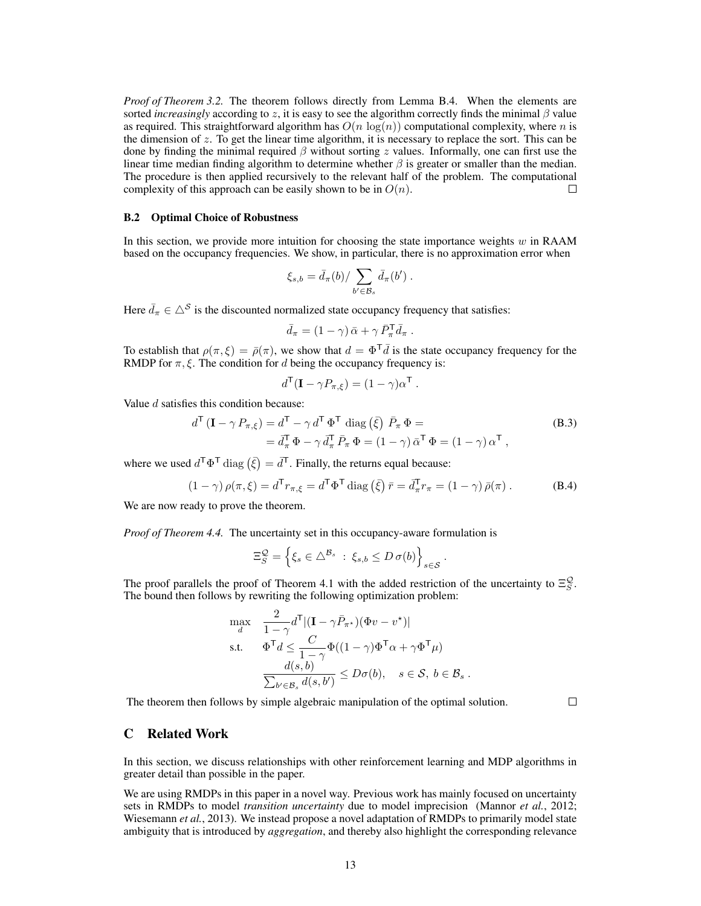*Proof of Theorem 3.2.* The theorem follows directly from Lemma B.4. When the elements are sorted *increasingly* according to z, it is easy to see the algorithm correctly finds the minimal  $\beta$  value as required. This straightforward algorithm has  $O(n \log(n))$  computational complexity, where n is the dimension of  $z$ . To get the linear time algorithm, it is necessary to replace the sort. This can be done by finding the minimal required  $\beta$  without sorting z values. Informally, one can first use the linear time median finding algorithm to determine whether  $\beta$  is greater or smaller than the median. The procedure is then applied recursively to the relevant half of the problem. The computational complexity of this approach can be easily shown to be in  $O(n)$ . П

### B.2 Optimal Choice of Robustness

In this section, we provide more intuition for choosing the state importance weights  $w$  in RAAM based on the occupancy frequencies. We show, in particular, there is no approximation error when

$$
\xi_{s,b} = \bar{d}_{\pi}(b) / \sum_{b' \in \mathcal{B}_s} \bar{d}_{\pi}(b') .
$$

Here  $\bar{d}_{\pi} \in \Delta^{\mathcal{S}}$  is the discounted normalized state occupancy frequency that satisfies:

$$
\bar{d}_{\pi} = (1 - \gamma) \, \bar{\alpha} + \gamma \, \bar{P}_{\pi}^{\mathsf{T}} \bar{d}_{\pi} \, .
$$

To establish that  $\rho(\pi,\xi) = \bar{\rho}(\pi)$ , we show that  $d = \Phi^T \bar{d}$  is the state occupancy frequency for the RMDP for  $\pi$ ,  $\xi$ . The condition for d being the occupancy frequency is:

$$
d^{\mathsf{T}}(\mathbf{I} - \gamma P_{\pi,\xi}) = (1 - \gamma)\alpha^{\mathsf{T}}.
$$

Value  $d$  satisfies this condition because:

$$
d^{\mathsf{T}}\left(\mathbf{I} - \gamma P_{\pi,\xi}\right) = d^{\mathsf{T}} - \gamma d^{\mathsf{T}} \Phi^{\mathsf{T}} \text{ diag}\left(\bar{\xi}\right) \bar{P}_{\pi} \Phi =
$$
\n
$$
= \bar{d}_{\pi}^{\mathsf{T}} \Phi - \gamma \bar{d}_{\pi}^{\mathsf{T}} \bar{P}_{\pi} \Phi = (1 - \gamma) \bar{\alpha}^{\mathsf{T}} \Phi = (1 - \gamma) \alpha^{\mathsf{T}} ,
$$
\n(B.3)

where we used  $d^{\mathsf{T}} \Phi^{\mathsf{T}}$  diag  $(\bar{\xi}) = d^{\mathsf{T}}$ . Finally, the returns equal because:

$$
(1 - \gamma) \rho(\pi, \xi) = d^{\mathsf{T}} r_{\pi, \xi} = d^{\mathsf{T}} \Phi^{\mathsf{T}} \operatorname{diag} (\bar{\xi}) \bar{r} = \bar{d}_{\pi}^{\mathsf{T}} r_{\pi} = (1 - \gamma) \bar{\rho}(\pi).
$$
 (B.4)

We are now ready to prove the theorem.

*Proof of Theorem 4.4.* The uncertainty set in this occupancy-aware formulation is

$$
\Xi_S^{\mathcal{Q}} = \left\{ \xi_s \in \triangle^{\mathcal{B}_s} \, : \, \xi_{s,b} \leq D \, \sigma(b) \right\}_{s \in \mathcal{S}}.
$$

The proof parallels the proof of Theorem 4.1 with the added restriction of the uncertainty to  $\Xi_{S}^{\mathcal{Q}}$ . The bound then follows by rewriting the following optimization problem:

$$
\max_{d} \quad \frac{2}{1-\gamma} d^{\mathsf{T}} |(\mathbf{I} - \gamma \bar{P}_{\pi^*})(\Phi v - v^*)|
$$
\ns.t. 
$$
\Phi^{\mathsf{T}} d \leq \frac{C}{1-\gamma} \Phi((1-\gamma)\Phi^{\mathsf{T}}\alpha + \gamma \Phi^{\mathsf{T}}\mu)
$$
\n
$$
\frac{d(s,b)}{\sum_{b' \in \mathcal{B}_s} d(s,b')} \leq D\sigma(b), \quad s \in \mathcal{S}, \ b \in \mathcal{B}_s.
$$

The theorem then follows by simple algebraic manipulation of the optimal solution.

### $\Box$

## C Related Work

In this section, we discuss relationships with other reinforcement learning and MDP algorithms in greater detail than possible in the paper.

We are using RMDPs in this paper in a novel way. Previous work has mainly focused on uncertainty sets in RMDPs to model *transition uncertainty* due to model imprecision (Mannor *et al.*, 2012; Wiesemann *et al.*, 2013). We instead propose a novel adaptation of RMDPs to primarily model state ambiguity that is introduced by *aggregation*, and thereby also highlight the corresponding relevance